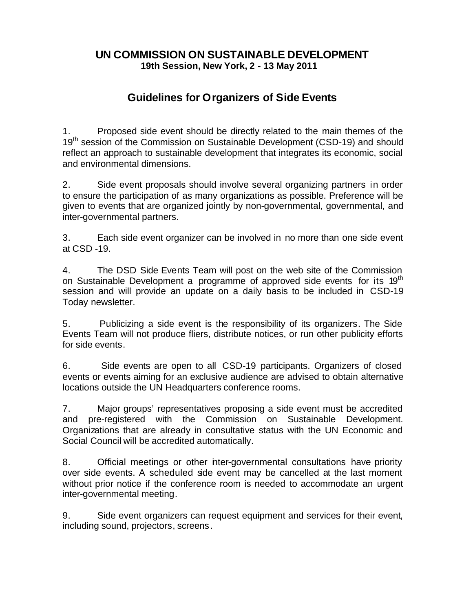## **UN COMMISSION ON SUSTAINABLE DEVELOPMENT 19th Session, New York, 2 - 13 May 2011**

## **Guidelines for Organizers of Side Events**

1. Proposed side event should be directly related to the main themes of the 19<sup>th</sup> session of the Commission on Sustainable Development (CSD-19) and should reflect an approach to sustainable development that integrates its economic, social and environmental dimensions.

2. Side event proposals should involve several organizing partners in order to ensure the participation of as many organizations as possible. Preference will be given to events that are organized jointly by non-governmental, governmental, and inter-governmental partners.

3. Each side event organizer can be involved in no more than one side event at CSD -19.

4. The DSD Side Events Team will post on the web site of the Commission on Sustainable Development a programme of approved side events for its 19<sup>th</sup> session and will provide an update on a daily basis to be included in CSD-19 Today newsletter.

5. Publicizing a side event is the responsibility of its organizers. The Side Events Team will not produce fliers, distribute notices, or run other publicity efforts for side events.

6. Side events are open to all CSD-19 participants. Organizers of closed events or events aiming for an exclusive audience are advised to obtain alternative locations outside the UN Headquarters conference rooms.

7. Major groups' representatives proposing a side event must be accredited and pre-registered with the Commission on Sustainable Development. Organizations that are already in consultative status with the UN Economic and Social Council will be accredited automatically.

8. Official meetings or other inter-governmental consultations have priority over side events. A scheduled side event may be cancelled at the last moment without prior notice if the conference room is needed to accommodate an urgent inter-governmental meeting.

9. Side event organizers can request equipment and services for their event, including sound, projectors, screens.